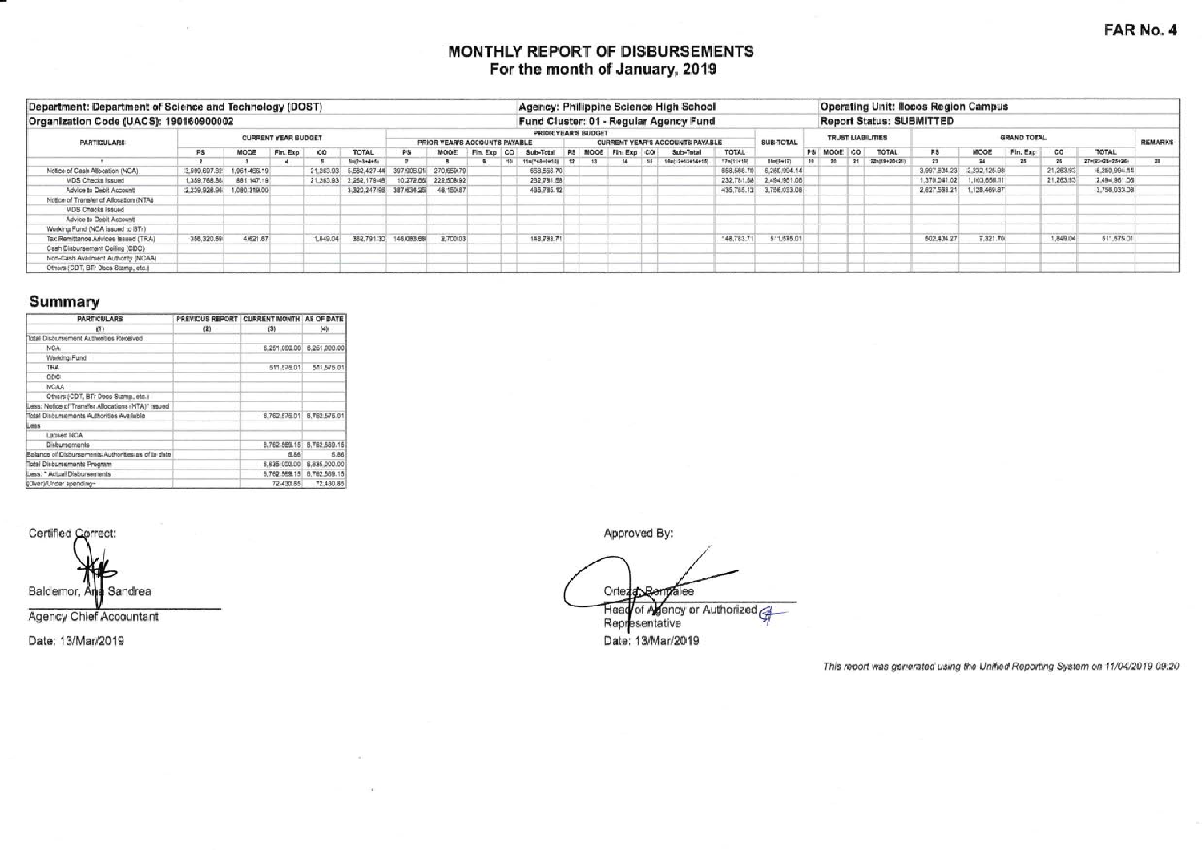# MONTHLY REPORT OF DISBURSEMENTS For the month of January, 2019

| Department: Department of Science and Technology (DOST) |              |                            |          |                                                      |                                    |                       |            |             |    |                               |                                 |  |           | Agency: Philippine Science High School |             |                         |  |         |    |                    | <b>Operating Unit: Ilocos Region Campus</b> |                           |          |           |                  |    |
|---------------------------------------------------------|--------------|----------------------------|----------|------------------------------------------------------|------------------------------------|-----------------------|------------|-------------|----|-------------------------------|---------------------------------|--|-----------|----------------------------------------|-------------|-------------------------|--|---------|----|--------------------|---------------------------------------------|---------------------------|----------|-----------|------------------|----|
| Organization Code (UACS): 190160900002                  |              |                            |          |                                                      |                                    |                       |            |             |    |                               |                                 |  |           | Fund Cluster: 01 - Regular Agency Fund |             |                         |  |         |    |                    | <b>Report Status: SUBMITTED</b>             |                           |          |           |                  |    |
| <b>PARTICULARS</b>                                      |              | <b>CURRENT YEAR BUDGET</b> |          | PRIOR YEAR'S BUDGET<br>PRIOR YEAR'S ACCOUNTS PAYABLE |                                    |                       |            |             |    |                               | CURRENT YEAR'S ACCOUNTS PAYABLE |  | SUB-TOTAL | <b>TRUST LIABILITIES</b>               |             |                         |  |         |    | <b>GRAND TOTAL</b> |                                             | <b>REMARKS</b>            |          |           |                  |    |
|                                                         | <b>PS</b>    | MOOE                       | Fin. Exp | co                                                   | TOTAL                              | PS                    | MODE       | Fin. Exp CO |    | Sub-Total PS MOOE Fin. Exp CO |                                 |  |           | Sub-Total                              | TOTAL       |                         |  | PS MOOE | co | <b>TOTAL</b>       | <b>PS</b>                                   | MOOE                      | Fin. Exp | co        | TOTAL            |    |
|                                                         |              |                            |          |                                                      | 8=(2+3+4+5)                        |                       |            |             | 10 | 11=(7+8+9+10)                 |                                 |  | $-15$     | 10412+13+54+15                         | 17%(11+14)  | 184(6+17)               |  | 20      | 21 | 22m(19+20+21)      |                                             |                           | 25       |           | 27=(23+24+25+26) | 38 |
| Notice of Cash Allocation (NCA)                         |              | 3,599.697.32 1,961,466.19  |          | 21,263.93                                            | 5.582.427.44 397.905.91 270.659.79 |                       |            |             |    | 668,566.70                    |                                 |  |           |                                        | 668, 566.70 | 6,250.994.14            |  |         |    |                    | 3,997,604.23                                | 2.232.125.98              |          | 21,263.97 | 6,250,994.14     |    |
| <b>MDS Checks Issued</b>                                | 1,359,768.35 | 881,147.19                 |          | 21,263.93                                            | 2,262,179.48                       | 10.272.66             | 222,508.92 |             |    | 232,781.58                    |                                 |  |           |                                        |             | 232,781.58 2,494,961.06 |  |         |    |                    | 1,370,041.02                                | 1,103,656.11              |          | 21,263.93 | 2.494.961.06     |    |
| Advice to Debit Account                                 |              | 2.239.928.96 1.080.319.00  |          |                                                      | 3,320,247.96 387.634.25 48.150.87  |                       |            |             |    | 435,785.12                    |                                 |  |           |                                        |             | 435,785.12 3,756.033.08 |  |         |    |                    |                                             | 2,627.563.21 1,128.469.87 |          |           | 3,756,033.08     |    |
| Notice of Transfer of Allocation (NTA)                  |              |                            |          |                                                      |                                    |                       |            |             |    |                               |                                 |  |           |                                        |             |                         |  |         |    |                    |                                             |                           |          |           |                  |    |
| <b>MDS Checks Issued</b>                                |              |                            |          |                                                      |                                    |                       |            |             |    |                               |                                 |  |           |                                        |             |                         |  |         |    |                    |                                             |                           |          |           |                  |    |
| Advice to Debit Account                                 |              |                            |          |                                                      |                                    |                       |            |             |    |                               |                                 |  |           |                                        |             |                         |  |         |    |                    |                                             |                           |          |           |                  |    |
| Working Fund (NCA issued to BTr)                        |              |                            |          |                                                      |                                    |                       |            |             |    |                               |                                 |  |           |                                        |             |                         |  |         |    |                    |                                             |                           |          |           |                  |    |
| Tax Remittance Advices Issued (TRA)                     | 356.320.59   | 4.621.67                   |          | 1,849,04                                             |                                    | 362,791.30 146,083.68 | 2,700.03   |             |    | 148,783.71                    |                                 |  |           |                                        | 148,783.71  | 511,575.01              |  |         |    |                    | 502.404.27                                  | 7.321.70                  |          | 1,849.04  | 511,575.01       |    |
| Cash Disbursement Ceiling (CDC)                         |              |                            |          |                                                      |                                    |                       |            |             |    |                               |                                 |  |           |                                        |             |                         |  |         |    |                    |                                             |                           |          |           |                  |    |
| Non-Cash Availment Authority (NCAA)                     |              |                            |          |                                                      |                                    |                       |            |             |    |                               |                                 |  |           |                                        |             |                         |  |         |    |                    |                                             |                           |          |           |                  |    |
| Others (CDT, BTr Docs Stamp, etc.)                      |              |                            |          |                                                      |                                    |                       |            |             |    |                               |                                 |  |           |                                        |             |                         |  |         |    |                    |                                             |                           |          |           |                  |    |

### Summary

| <b>PARTICULARS</b>                                 | PREVIOUS REPORT CURRENT MONTH AS OF DATE |              |                           |
|----------------------------------------------------|------------------------------------------|--------------|---------------------------|
| (1)                                                | (2)                                      | (3)          | (4)                       |
| Total Disbursement Authorities Received            |                                          |              |                           |
| NCA                                                |                                          |              | 6.251.000.00 6.251.000.00 |
| Working Fund                                       |                                          |              |                           |
| <b>TRA</b>                                         |                                          | 511,575.01   | 511,575.01                |
| CDC                                                |                                          |              |                           |
| <b>NCAA</b>                                        |                                          |              |                           |
| Others (CDT, BTr Docs Stamp, etc.)                 |                                          |              |                           |
| Less: Notice of Transfer Allocations (NTA)* issued |                                          |              |                           |
| Total Disbursements Authorities Available          |                                          | 6.762,575.01 | 8,762,575.01              |
| Less                                               |                                          |              |                           |
| Lapsed NCA                                         |                                          |              |                           |
| <b>Disbursements</b>                               |                                          |              | 6.762,569.15 8.762,569.15 |
| Balance of Disbursements Authorities as of to date |                                          | 5.86         | 5.86                      |
| Total Disbursements Program                        |                                          |              | 6,835,000.00 6,835,000.00 |
| Less: * Actual Disbursements                       |                                          |              | 6,762,569.15 6,762,569.15 |
| (Over)/Under spending~                             |                                          | 72,430.85    | 72,430.85                 |

Certified Correct: Baldemor, And Sandrea

Agency Chief Accountant

Date: 13/Mar/2019

Approved By:

Orteza Renyalee Head of Agency or Authorized Representative Date: 13/Mar/2019

This report was generated using the Unified Reporting System on 11/04/2019 09:20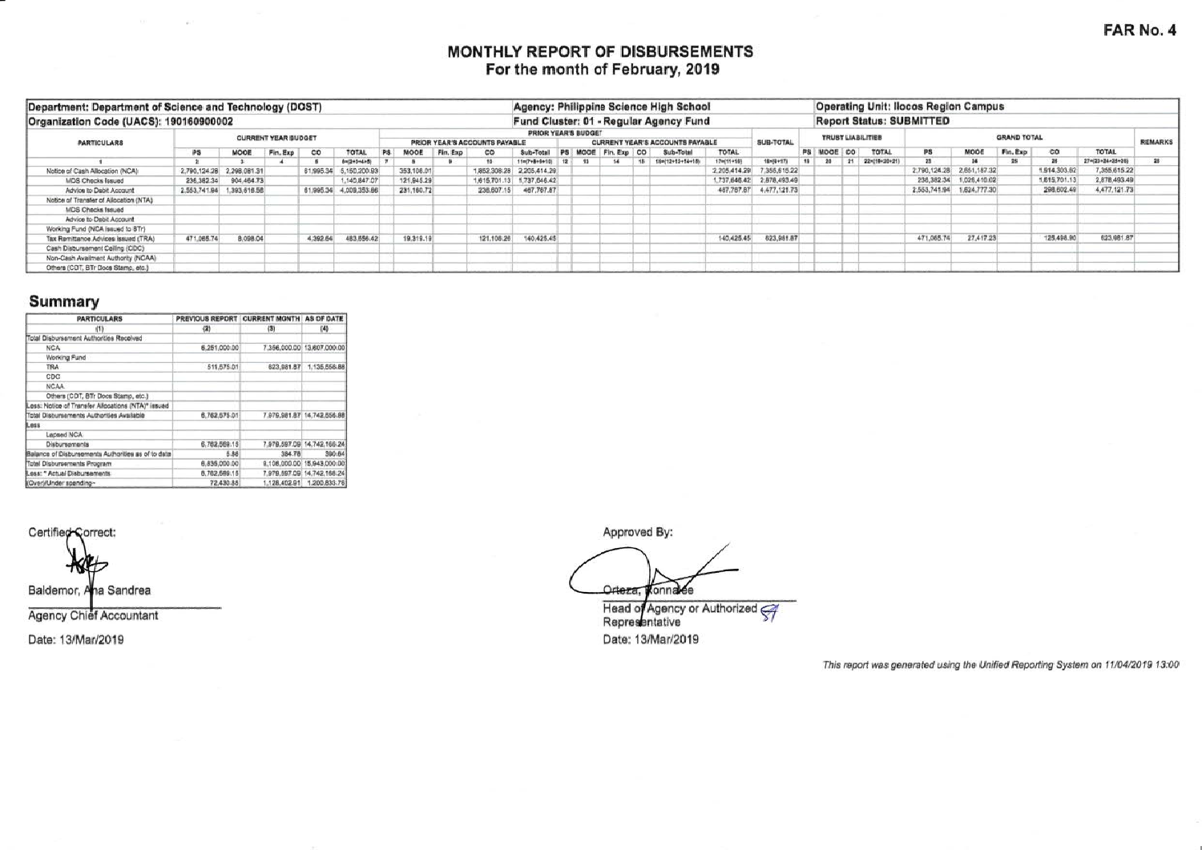## MONTHLY REPORT OF DISBURSEMENTS For the month of February, 2019

| Department: Department of Science and Technology (DOST) |            |                           |                            |          |                        |     |             |                               |                     |                           |  |                                 |             |           | Agency: Philippine Science High School |              |                           |         |         |                    | <b>Operating Unit: Ilocos Region Campus</b> |                           |          |              |                  |                |
|---------------------------------------------------------|------------|---------------------------|----------------------------|----------|------------------------|-----|-------------|-------------------------------|---------------------|---------------------------|--|---------------------------------|-------------|-----------|----------------------------------------|--------------|---------------------------|---------|---------|--------------------|---------------------------------------------|---------------------------|----------|--------------|------------------|----------------|
| Organization Code (UACS): 190160900002                  |            |                           |                            |          |                        |     |             |                               |                     |                           |  |                                 |             |           | Fund Cluster: 01 - Regular Agency Fund |              |                           |         |         |                    | <b>Report Status: SUBMITTED</b>             |                           |          |              |                  |                |
| <b><i>PARTICULARS</i></b>                               |            |                           | <b>CURRENT YEAR BUDGET</b> |          |                        |     |             | PRIOR YEAR'S ACCOUNTS PAYABLE | PRIOR YEAR'S BUDGET |                           |  | CURRENT YEAR'S ACCOUNTS PAYABLE |             | SUB-TOTAL | <b>TRUST LIABILITIES</b>               |              |                           |         |         | <b>GRAND TOTAL</b> |                                             |                           |          |              |                  |                |
|                                                         | PS         | MOOE                      | Fin. Exp                   | $^{co}$  | TOTAL                  | PS. | MODE        | Fin, Exp                      | co                  | Sub-Total                 |  | PS MODE                         | Fin. Exp CO |           | Sub-Total                              | <b>TOTAL</b> |                           | PS MODE | $\circ$ | TOTAL              | PS                                          | MOOE                      | Fin, Exp | $^{co}$      | <b>TOTAL</b>     | <b>REMARKS</b> |
|                                                         |            |                           |                            |          | 8=(2+3+4+5)            |     |             |                               | 15                  | 11=(7+8+9+10)   12        |  | 13                              | 56          |           | 15 18=(12+12+14+18)                    | 17-(11+18)   | 1946+171                  | 20      |         | 21 221(19+20+21)   |                                             |                           | 25       |              | 27=(23=24=25=26) | 28             |
| Notice of Cash Allocation (NCA)                         |            | 2,790.124.28 2,298.081.31 |                            |          | 61,995.34 5,150,200.93 |     | 353,106.01  |                               |                     | 1,852,308.28 2,205,414.29 |  |                                 |             |           |                                        | 2.205.414.29 | 7,355,615.22              |         |         |                    |                                             | 2,790,124.28 2,651,187.32 |          | 1,914,303.62 | 7,355,615.22     |                |
| <b>MDS Checks Issued</b>                                |            | 236.382.34 904.464.73     |                            |          | 140,847.07             |     | 121,945.29  |                               |                     | 1,615,701.13 1,737,646.42 |  |                                 |             |           |                                        |              | 1,737,646.42 2,878,493.49 |         |         |                    |                                             | 236.382.34 1.026.410.02   |          | 1,615,701.13 | 2,878,493.49     |                |
| Advice to Debit Account                                 |            | 2,553,741.94 1,393,616.58 |                            |          | 61,995.34 4,009,353.66 |     | 231, 160.72 |                               | 236,607.15          | 467,767.87                |  |                                 |             |           |                                        | 467,767,87   | 4,477,121.73              |         |         |                    |                                             | 2,553,741.94 1,624,777.30 |          | 298,602.49   | 4,477,121.73     |                |
| Notice of Transfer of Allocation (NTA)                  |            |                           |                            |          |                        |     |             |                               |                     |                           |  |                                 |             |           |                                        |              |                           |         |         |                    |                                             |                           |          |              |                  |                |
| <b>MDS Checks Issued</b>                                |            |                           |                            |          |                        |     |             |                               |                     |                           |  |                                 |             |           |                                        |              |                           |         |         |                    |                                             |                           |          |              |                  |                |
| Advice to Debit Account                                 |            |                           |                            |          |                        |     |             |                               |                     |                           |  |                                 |             |           |                                        |              |                           |         |         |                    |                                             |                           |          |              |                  |                |
| Working Fund (NCA issued to BTr)                        |            |                           |                            |          |                        |     |             |                               |                     |                           |  |                                 |             |           |                                        |              |                           |         |         |                    |                                             |                           |          |              |                  |                |
| Tax Remittance Advices issued (TRA)                     | 471,065.74 | 8,098.04                  |                            | 4,392.64 | 483.556.42             |     | 19,319.19   |                               | 121.108.26          | 140,425.45                |  |                                 |             |           |                                        | 140,425.45   | 623,981.87                |         |         |                    | 471,065.74                                  | 27,417.23                 |          | 125,498.90   | 623, 981, 87     |                |
| Cash Disbursement Ceiling (CDC)                         |            |                           |                            |          |                        |     |             |                               |                     |                           |  |                                 |             |           |                                        |              |                           |         |         |                    |                                             |                           |          |              |                  |                |
| Non-Cash Availment Authority (NCAA)                     |            |                           |                            |          |                        |     |             |                               |                     |                           |  |                                 |             |           |                                        |              |                           |         |         |                    |                                             |                           |          |              |                  |                |
| Others (CDT, BTr Docs Stamp, etc.)                      |            |                           |                            |          |                        |     |             |                               |                     |                           |  |                                 |             |           |                                        |              |                           |         |         |                    |                                             |                           |          |              |                  |                |

# Summary

| <b>PARTICULARS</b>                                 | PREVIOUS REPORT | <b>CURRENT MONTH AS OF DATE</b> |                            |
|----------------------------------------------------|-----------------|---------------------------------|----------------------------|
| (1)                                                | (2)             | (3)                             | (4)                        |
| Total Disbursement Authorities Received            |                 |                                 |                            |
| NCA                                                | 6.251,000.00    |                                 | 7.356.000.00 13.807.000.00 |
| Working Fund                                       |                 |                                 |                            |
| <b>TRA</b>                                         | 511,575.01      | 623.981.87                      | 1.135.556.88               |
| CDC                                                |                 |                                 |                            |
| NCAA                                               |                 |                                 |                            |
| Others (CDT, BTr Docs Starto, etc.)                |                 |                                 |                            |
| Less: Notice of Transfer Allocations (NTA)* issued |                 |                                 |                            |
| Total Discursements Authorities Available          | 6,762,575.01    |                                 | 7.979.981.87 14.742.556.88 |
| Less                                               |                 |                                 |                            |
| Lapsed NCA                                         |                 |                                 |                            |
| Disbursements                                      | 6.762.569.15    |                                 | 7.979.597.09 14.742.166.24 |
| Balance of Disbursements Authorities as of to date | 5.86            | 384.78                          | 390.64                     |
| Total Disbursements Program                        | 6.835.000.00    |                                 | 9.106.000.00 15.943.000.00 |
| Less: * Actual Disbursements                       | 6,762,569.15    |                                 | 7.979.597.09 14.742.188.24 |
| (Over)/Under spending~                             | 72,430.85       |                                 | 1,128,402.91 1,200,833.76  |

 $\mathcal{L}$ 

Certified Correct:

Baldemor, Ana Sandrea

Agency Chief Accountant

Date: 13/Mar/2019

Approved By:

Orteza, Konnalee Head of Agency or Authorized

Date: 13/Mar/2019

This report was generated using the Unified Reporting System on 11/04/2019 13:00